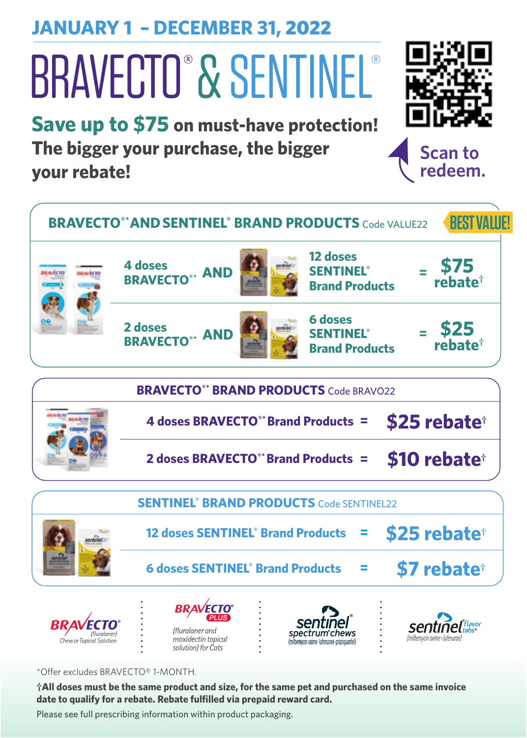**JANUARY 1 – DECEMBER 31,** 2022

# BRAVECTO® & SENTINEL®

**Save up to \$75 on must-have protection! The bigger your purchase, the bigger your rebate!**





\*Offer excludes BRAVECTO® 1-MONTH.

**†All doses must be the same product and size, for the same pet and purchased on the same invoice date to qualify for a rebate. Rebate fulfilled via prepaid reward card.**

Please see full prescribing information within product packaging.